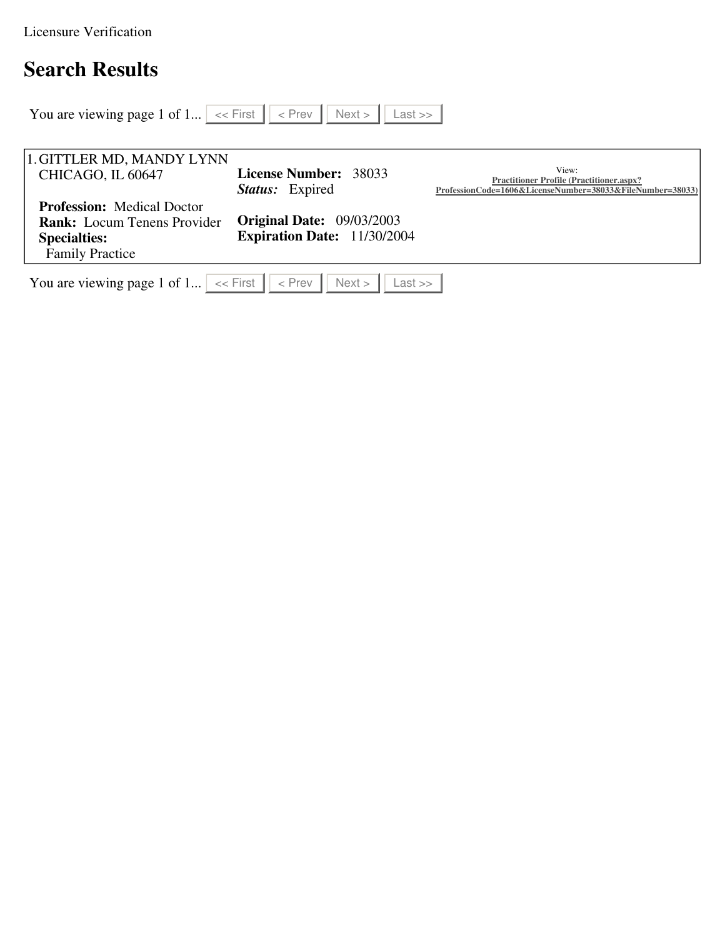Licensure Verification

# **Search Results**

| You are viewing page 1 of 1 $\vert \ll$ First $\vert \vert \ll$ Prev                                                     | $Last \gg$<br>Next                                                     |                                                                                                                       |
|--------------------------------------------------------------------------------------------------------------------------|------------------------------------------------------------------------|-----------------------------------------------------------------------------------------------------------------------|
|                                                                                                                          |                                                                        |                                                                                                                       |
| 1. GITTLER MD, MANDY LYNN                                                                                                |                                                                        |                                                                                                                       |
| CHICAGO, IL 60647                                                                                                        | <b>License Number: 38033</b><br><b>Status:</b> Expired                 | View:<br><b>Practitioner Profile (Practitioner.aspx?</b><br>ProfessionCode=1606&LicenseNumber=38033&FileNumber=38033) |
| <b>Profession:</b> Medical Doctor<br><b>Rank:</b> Locum Tenens Provider<br><b>Specialties:</b><br><b>Family Practice</b> | <b>Original Date: 09/03/2003</b><br><b>Expiration Date: 11/30/2004</b> |                                                                                                                       |
| You are viewing page 1 of 1 $  \ll$ First $   \ll$ Prev                                                                  | Next<br>$Last \gg$                                                     |                                                                                                                       |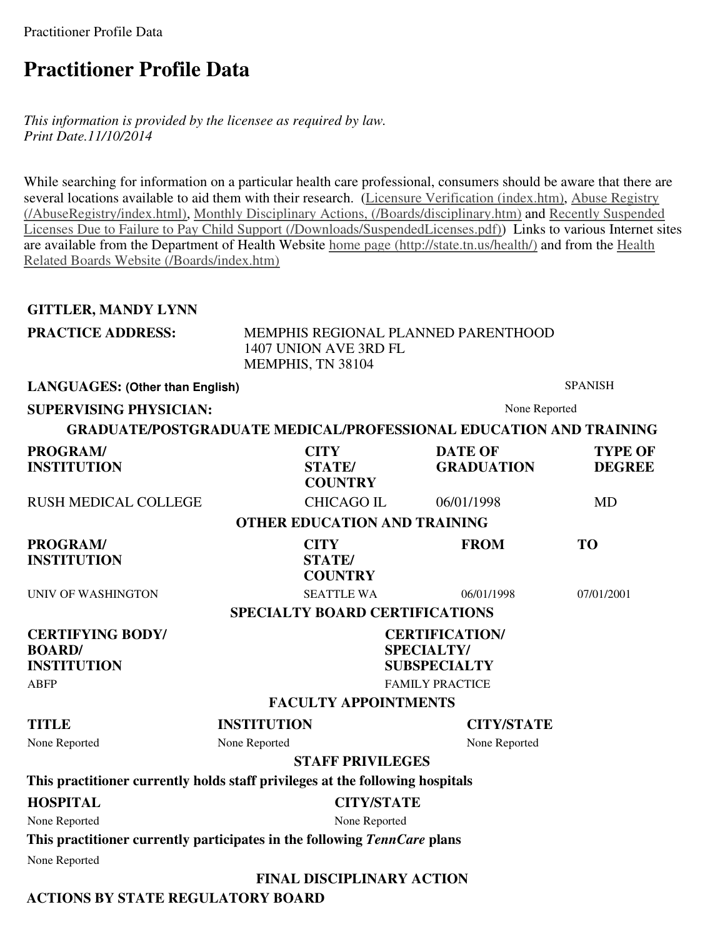Practitioner Profile Data

## **Practitioner Profile Data**

*This information is provided by the licensee as required by law. Print Date.11/10/2014*

While searching for information on a particular health care professional, consumers should be aware that there are several locations available to aid them with their research. (Licensure Verification (index.htm), Abuse Registry (/AbuseRegistry/index.html), Monthly Disciplinary Actions, (/Boards/disciplinary.htm) and Recently Suspended Licenses Due to Failure to Pay Child Support (/Downloads/SuspendedLicenses.pdf)) Links to various Internet sites are available from the Department of Health Website home page (http://state.tn.us/health/) and from the Health Related Boards Website (/Boards/index.htm)

## **GITTLER, MANDY LYNN**

| <b>PRACTICE ADDRESS:</b> | MEMPHIS REGIONAL PLANNED PARENTHOOD |
|--------------------------|-------------------------------------|
|                          | 1407 UNION AVE 3RD FL               |
|                          | MEMPHIS, TN 38104                   |

**LANGUAGES: (Other than English)** SPANISH **SUPERVISING PHYSICIAN:** None Reported **GRADUATE/POSTGRADUATE MEDICAL/PROFESSIONAL EDUCATION AND TRAINING PROGRAM/ INSTITUTION CITY STATE/ COUNTRY DATE OF GRADUATION TYPE OF DEGREE**  RUSH MEDICAL COLLEGE CHICAGO IL 06/01/1998 MD **OTHER EDUCATION AND TRAINING PROGRAM/ INSTITUTION CITY STATE/ COUNTRY FROM TO**  UNIV OF WASHINGTON SEATTLE WA 06/01/1998 07/01/2001 **SPECIALTY BOARD CERTIFICATIONS CERTIFYING BODY/ BOARD/ INSTITUTION CERTIFICATION/ SPECIALTY/ SUBSPECIALTY**  ABFP FAMILY PRACTICE **FACULTY APPOINTMENTS TITLE INSTITUTION CITY/STATE**  None Reported None Reported None Reported **STAFF PRIVILEGES This practitioner currently holds staff privileges at the following hospitals HOSPITAL CITY/STATE** 

None Reported None Reported

**This practitioner currently participates in the following** *TennCare* **plans**

None Reported

### **FINAL DISCIPLINARY ACTION**

**ACTIONS BY STATE REGULATORY BOARD**